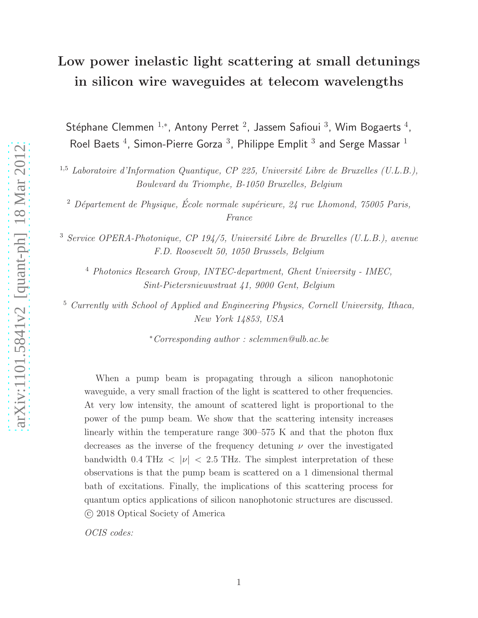# Low power inelastic light scattering at small detunings in silicon wire waveguides at telecom wavelengths

Stéphane Clemmen  $^{1,\ast}$ , Antony Perret  $^2$ , Jassem Safioui  $^3$ , Wim Bogaerts  $^4$ , Roel Baets  $^4$ , Simon-Pierre Gorza  $^3$ , Philippe Emplit  $^3$  and Serge Massar  $^1$ 

<sup>1,5</sup> *Laboratoire d'Information Quantique, CP 225, Université Libre de Bruxelles (U.L.B.)*, *Boulevard du Triomphe, B-1050 Bruxelles, Belgium*

<sup>2</sup> *Département de Physique, École normale supérieure, 24 rue Lhomond, 75005 Paris, France*

<sup>3</sup> Service OPERA-Photonique, CP 194/5, Université Libre de Bruxelles (U.L.B.), avenue *F.D. Roosevelt 50, 1050 Brussels, Belgium*

<sup>4</sup> *Photonics Research Group, INTEC-department, Ghent University - IMEC, Sint-Pietersnieuwstraat 41, 9000 Gent, Belgium*

<sup>5</sup> *Currently with School of Applied and Engineering Physics, Cornell University, Ithaca, New York 14853, USA*

<sup>∗</sup>*Corresponding author : sclemmen@ulb.ac.be*

When a pump beam is propagating through a silicon nanophotonic waveguide, a very small fraction of the light is scattered to other frequencies. At very low intensity, the amount of scattered light is proportional to the power of the pump beam. We show that the scattering intensity increases linearly within the temperature range 300–575 K and that the photon flux decreases as the inverse of the frequency detuning  $\nu$  over the investigated bandwidth 0.4 THz  $\langle |\nu| \langle 2.5 \rangle$  THz. The simplest interpretation of these observations is that the pump beam is scattered on a 1 dimensional thermal bath of excitations. Finally, the implications of this scattering process for quantum optics applications of silicon nanophotonic structures are discussed. c 2018 Optical Society of America

*OCIS codes:*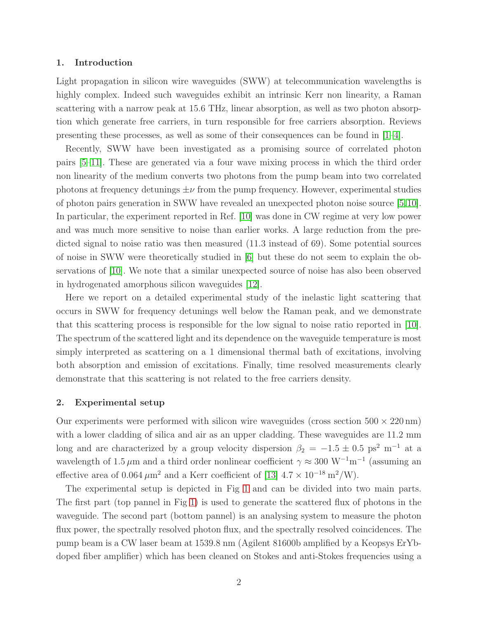#### 1. Introduction

Light propagation in silicon wire waveguides (SWW) at telecommunication wavelengths is highly complex. Indeed such waveguides exhibit an intrinsic Kerr non linearity, a Raman scattering with a narrow peak at 15.6 THz, linear absorption, as well as two photon absorption which generate free carriers, in turn responsible for free carriers absorption. Reviews presenting these processes, as well as some of their consequences can be found in [\[1–](#page-9-0)[4\]](#page-9-1).

Recently, SWW have been investigated as a promising source of correlated photon pairs [\[5–](#page-9-2)[11\]](#page-10-0). These are generated via a four wave mixing process in which the third order non linearity of the medium converts two photons from the pump beam into two correlated photons at frequency detunings  $\pm \nu$  from the pump frequency. However, experimental studies of photon pairs generation in SWW have revealed an unexpected photon noise source [\[5,](#page-9-2)[10\]](#page-10-1). In particular, the experiment reported in Ref. [\[10\]](#page-10-1) was done in CW regime at very low power and was much more sensitive to noise than earlier works. A large reduction from the predicted signal to noise ratio was then measured (11.3 instead of 69). Some potential sources of noise in SWW were theoretically studied in [\[6\]](#page-9-3) but these do not seem to explain the observations of [\[10\]](#page-10-1). We note that a similar unexpected source of noise has also been observed in hydrogenated amorphous silicon waveguides [\[12\]](#page-10-2).

Here we report on a detailed experimental study of the inelastic light scattering that occurs in SWW for frequency detunings well below the Raman peak, and we demonstrate that this scattering process is responsible for the low signal to noise ratio reported in [\[10\]](#page-10-1). The spectrum of the scattered light and its dependence on the waveguide temperature is most simply interpreted as scattering on a 1 dimensional thermal bath of excitations, involving both absorption and emission of excitations. Finally, time resolved measurements clearly demonstrate that this scattering is not related to the free carriers density.

#### 2. Experimental setup

Our experiments were performed with silicon wire waveguides (cross section  $500 \times 220 \text{ nm}$ ) with a lower cladding of silica and air as an upper cladding. These waveguides are 11.2 mm long and are characterized by a group velocity dispersion  $\beta_2 = -1.5 \pm 0.5$  ps<sup>2</sup> m<sup>-1</sup> at a wavelength of 1.5  $\mu$ m and a third order nonlinear coefficient  $\gamma \approx 300 \text{ W}^{-1}\text{m}^{-1}$  (assuming an effective area of 0.064  $\mu$ m<sup>2</sup> and a Kerr coefficient of [\[13\]](#page-10-3)  $4.7 \times 10^{-18}$  m<sup>2</sup>/W).

The experimental setup is depicted in Fig [1](#page-2-0) and can be divided into two main parts. The first part (top pannel in Fig [1\)](#page-2-0) is used to generate the scattered flux of photons in the waveguide. The second part (bottom pannel) is an analysing system to measure the photon flux power, the spectrally resolved photon flux, and the spectrally resolved coincidences. The pump beam is a CW laser beam at 1539.8 nm (Agilent 81600b amplified by a Keopsys ErYbdoped fiber amplifier) which has been cleaned on Stokes and anti-Stokes frequencies using a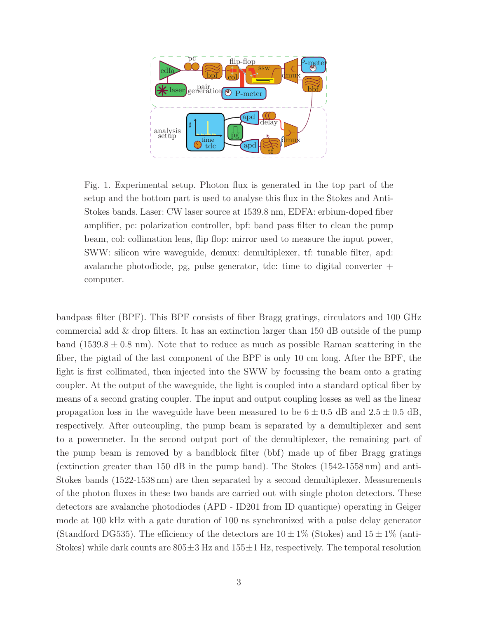

<span id="page-2-0"></span>Fig. 1. Experimental setup. Photon flux is generated in the top part of the setup and the bottom part is used to analyse this flux in the Stokes and Anti-Stokes bands. Laser: CW laser source at 1539.8 nm, EDFA: erbium-doped fiber amplifier, pc: polarization controller, bpf: band pass filter to clean the pump beam, col: collimation lens, flip flop: mirror used to measure the input power, SWW: silicon wire waveguide, demux: demultiplexer, tf: tunable filter, apd: avalanche photodiode, pg, pulse generator, tdc: time to digital converter  $+$ computer.

bandpass filter (BPF). This BPF consists of fiber Bragg gratings, circulators and 100 GHz commercial add  $\&$  drop filters. It has an extinction larger than 150 dB outside of the pump band  $(1539.8 \pm 0.8 \text{ nm})$ . Note that to reduce as much as possible Raman scattering in the fiber, the pigtail of the last component of the BPF is only 10 cm long. After the BPF, the light is first collimated, then injected into the SWW by focussing the beam onto a grating coupler. At the output of the waveguide, the light is coupled into a standard optical fiber by means of a second grating coupler. The input and output coupling losses as well as the linear propagation loss in the waveguide have been measured to be  $6 \pm 0.5$  dB and  $2.5 \pm 0.5$  dB, respectively. After outcoupling, the pump beam is separated by a demultiplexer and sent to a powermeter. In the second output port of the demultiplexer, the remaining part of the pump beam is removed by a bandblock filter (bbf) made up of fiber Bragg gratings (extinction greater than 150 dB in the pump band). The Stokes (1542-1558 nm) and anti-Stokes bands (1522-1538 nm) are then separated by a second demultiplexer. Measurements of the photon fluxes in these two bands are carried out with single photon detectors. These detectors are avalanche photodiodes (APD - ID201 from ID quantique) operating in Geiger mode at 100 kHz with a gate duration of 100 ns synchronized with a pulse delay generator (Standford DG535). The efficiency of the detectors are  $10 \pm 1\%$  (Stokes) and  $15 \pm 1\%$  (anti-Stokes) while dark counts are  $805\pm3$  Hz and  $155\pm1$  Hz, respectively. The temporal resolution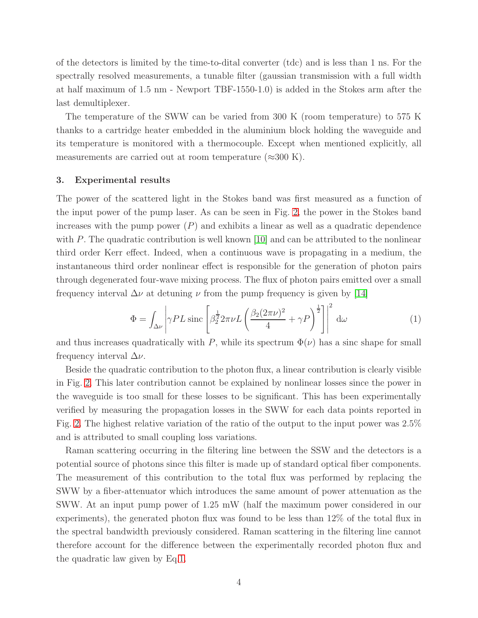of the detectors is limited by the time-to-dital converter (tdc) and is less than 1 ns. For the spectrally resolved measurements, a tunable filter (gaussian transmission with a full width at half maximum of 1.5 nm - Newport TBF-1550-1.0) is added in the Stokes arm after the last demultiplexer.

The temperature of the SWW can be varied from 300 K (room temperature) to 575 K thanks to a cartridge heater embedded in the aluminium block holding the waveguide and its temperature is monitored with a thermocouple. Except when mentioned explicitly, all measurements are carried out at room temperature  $(\approx 300 \text{ K})$ .

#### 3. Experimental results

The power of the scattered light in the Stokes band was first measured as a function of the input power of the pump laser. As can be seen in Fig. [2,](#page-4-0) the power in the Stokes band increases with the pump power  $(P)$  and exhibits a linear as well as a quadratic dependence with P. The quadratic contribution is well known  $[10]$  and can be attributed to the nonlinear third order Kerr effect. Indeed, when a continuous wave is propagating in a medium, the instantaneous third order nonlinear effect is responsible for the generation of photon pairs through degenerated four-wave mixing process. The flux of photon pairs emitted over a small frequency interval  $\Delta \nu$  at detuning  $\nu$  from the pump frequency is given by [\[14\]](#page-10-4)

<span id="page-3-0"></span>
$$
\Phi = \int_{\Delta\nu} \left| \gamma P L \operatorname{sinc} \left[ \beta_2^{\frac{1}{2}} 2\pi \nu L \left( \frac{\beta_2 (2\pi \nu)^2}{4} + \gamma P \right)^{\frac{1}{2}} \right] \right|^2 d\omega \tag{1}
$$

and thus increases quadratically with P, while its spectrum  $\Phi(\nu)$  has a sinc shape for small frequency interval  $\Delta \nu$ .

Beside the quadratic contribution to the photon flux, a linear contribution is clearly visible in Fig. [2.](#page-4-0) This later contribution cannot be explained by nonlinear losses since the power in the waveguide is too small for these losses to be significant. This has been experimentally verified by measuring the propagation losses in the SWW for each data points reported in Fig. [2.](#page-4-0) The highest relative variation of the ratio of the output to the input power was 2.5% and is attributed to small coupling loss variations.

Raman scattering occurring in the filtering line between the SSW and the detectors is a potential source of photons since this filter is made up of standard optical fiber components. The measurement of this contribution to the total flux was performed by replacing the SWW by a fiber-attenuator which introduces the same amount of power attenuation as the SWW. At an input pump power of 1.25 mW (half the maximum power considered in our experiments), the generated photon flux was found to be less than 12% of the total flux in the spectral bandwidth previously considered. Raman scattering in the filtering line cannot therefore account for the difference between the experimentally recorded photon flux and the quadratic law given by Eq[.1.](#page-3-0)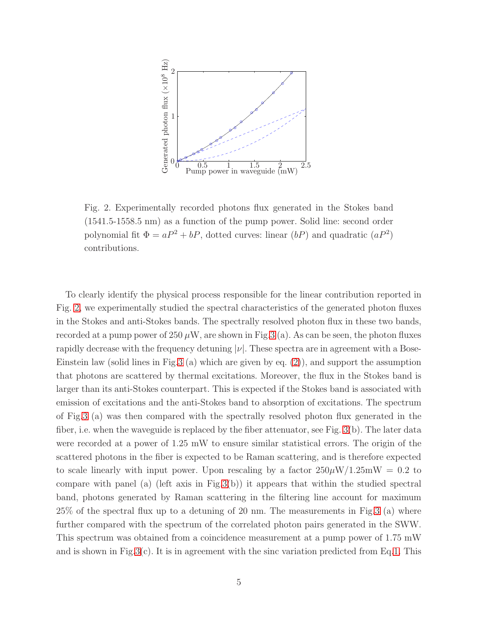

<span id="page-4-0"></span>Fig. 2. Experimentally recorded photons flux generated in the Stokes band (1541.5-1558.5 nm) as a function of the pump power. Solid line: second order polynomial fit  $\Phi = aP^2 + bP$ , dotted curves: linear  $(bP)$  and quadratic  $(aP^2)$ contributions.

To clearly identify the physical process responsible for the linear contribution reported in Fig. [2,](#page-4-0) we experimentally studied the spectral characteristics of the generated photon fluxes in the Stokes and anti-Stokes bands. The spectrally resolved photon flux in these two bands, recorded at a pump power of 250  $\mu$ W, are shown in Fig[.3](#page-5-0) (a). As can be seen, the photon fluxes rapidly decrease with the frequency detuning  $|\nu|$ . These spectra are in agreement with a Bose-Einstein law (solid lines in Fig[.3](#page-5-0) (a) which are given by eq. [\(2\)](#page-8-0)), and support the assumption that photons are scattered by thermal excitations. Moreover, the flux in the Stokes band is larger than its anti-Stokes counterpart. This is expected if the Stokes band is associated with emission of excitations and the anti-Stokes band to absorption of excitations. The spectrum of Fig[.3](#page-5-0) (a) was then compared with the spectrally resolved photon flux generated in the fiber, i.e. when the waveguide is replaced by the fiber attenuator, see Fig. [3\(](#page-5-0)b). The later data were recorded at a power of 1.25 mW to ensure similar statistical errors. The origin of the scattered photons in the fiber is expected to be Raman scattering, and is therefore expected to scale linearly with input power. Upon rescaling by a factor  $250\mu\text{W}/1.25\text{mW} = 0.2$  to compare with panel (a) (left axis in Fig[.3\(](#page-5-0)b)) it appears that within the studied spectral band, photons generated by Raman scattering in the filtering line account for maximum 25% of the spectral flux up to a detuning of 20 nm. The measurements in Fig[.3](#page-5-0) (a) where further compared with the spectrum of the correlated photon pairs generated in the SWW. This spectrum was obtained from a coincidence measurement at a pump power of 1.75 mW and is shown in Fig[.3\(](#page-5-0)c). It is in agreement with the sinc variation predicted from Eq[.1.](#page-3-0) This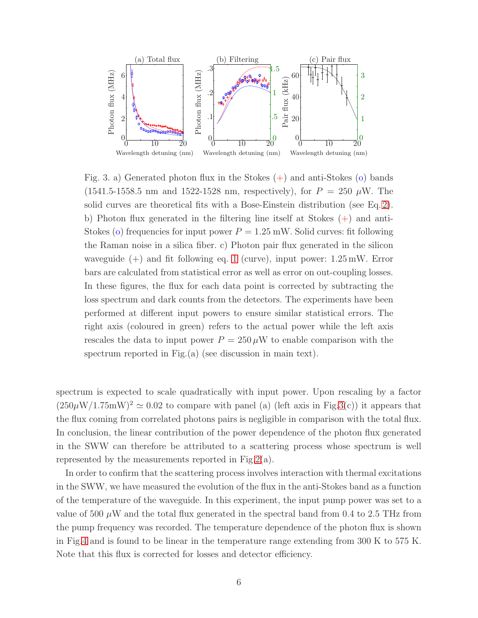

<span id="page-5-0"></span>Fig. 3. a) Generated photon flux in the Stokes  $(+)$  and anti-Stokes  $(0)$  bands  $(1541.5-1558.5 \text{ nm and } 1522-1528 \text{ nm, respectively}),$  for  $P = 250 \mu \text{W}$ . The solid curves are theoretical fits with a Bose-Einstein distribution (see Eq. [2\)](#page-8-0). b) Photon flux generated in the filtering line itself at Stokes  $(+)$  and anti-Stokes (o) frequencies for input power  $P = 1.25$  mW. Solid curves: fit following the Raman noise in a silica fiber. c) Photon pair flux generated in the silicon waveguide  $(+)$  and fit following eq. [1](#page-3-0) (curve), input power:  $1.25 \text{ mW}$ . Error bars are calculated from statistical error as well as error on out-coupling losses. In these figures, the flux for each data point is corrected by subtracting the loss spectrum and dark counts from the detectors. The experiments have been performed at different input powers to ensure similar statistical errors. The right axis (coloured in green) refers to the actual power while the left axis rescales the data to input power  $P = 250 \mu W$  to enable comparison with the spectrum reported in Fig.(a) (see discussion in main text).

spectrum is expected to scale quadratically with input power. Upon rescaling by a factor  $(250\mu W/1.75mW)^2 \simeq 0.02$  to compare with panel (a) (left axis in Fig[.3\(](#page-5-0)c)) it appears that the flux coming from correlated photons pairs is negligible in comparison with the total flux. In conclusion, the linear contribution of the power dependence of the photon flux generated in the SWW can therefore be attributed to a scattering process whose spectrum is well represented by the measurements reported in Fig[.2\(](#page-4-0)a).

In order to confirm that the scattering process involves interaction with thermal excitations in the SWW, we have measured the evolution of the flux in the anti-Stokes band as a function of the temperature of the waveguide. In this experiment, the input pump power was set to a value of 500  $\mu$ W and the total flux generated in the spectral band from 0.4 to 2.5 THz from the pump frequency was recorded. The temperature dependence of the photon flux is shown in Fig[.4](#page-6-0) and is found to be linear in the temperature range extending from 300 K to 575 K. Note that this flux is corrected for losses and detector efficiency.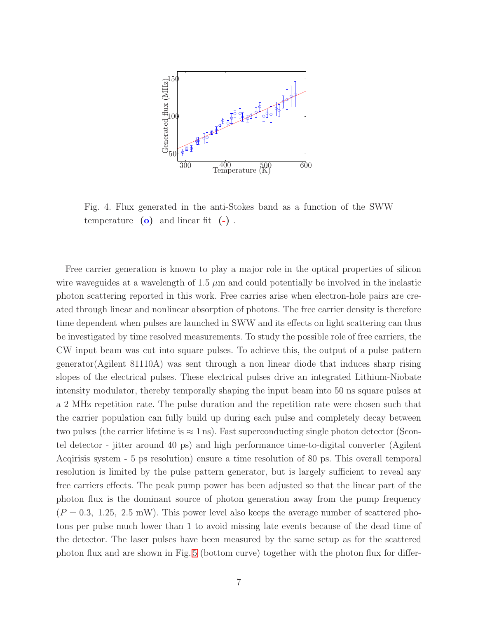# PSfrag replacements



<span id="page-6-0"></span>Fig. 4. Flux generated in the anti-Stokes band as a function of the SWW temperature  $(o)$  and linear fit  $(-)$ .

Free carrier generation is known to play a major role in the optical properties of silicon wire waveguides at a wavelength of  $1.5 \mu m$  and could potentially be involved in the inelastic photon scattering reported in this work. Free carries arise when electron-hole pairs are created through linear and nonlinear absorption of photons. The free carrier density is therefore time dependent when pulses are launched in SWW and its effects on light scattering can thus be investigated by time resolved measurements. To study the possible role of free carriers, the CW input beam was cut into square pulses. To achieve this, the output of a pulse pattern generator(Agilent 81110A) was sent through a non linear diode that induces sharp rising slopes of the electrical pulses. These electrical pulses drive an integrated Lithium-Niobate intensity modulator, thereby temporally shaping the input beam into 50 ns square pulses at a 2 MHz repetition rate. The pulse duration and the repetition rate were chosen such that the carrier population can fully build up during each pulse and completely decay between two pulses (the carrier lifetime is  $\approx 1 \,\text{ns}$ ). Fast superconducting single photon detector (Scontel detector - jitter around 40 ps) and high performance time-to-digital converter (Agilent Acqirisis system - 5 ps resolution) ensure a time resolution of 80 ps. This overall temporal resolution is limited by the pulse pattern generator, but is largely sufficient to reveal any free carriers effects. The peak pump power has been adjusted so that the linear part of the photon flux is the dominant source of photon generation away from the pump frequency  $(P = 0.3, 1.25, 2.5 \text{ mW})$ . This power level also keeps the average number of scattered photons per pulse much lower than 1 to avoid missing late events because of the dead time of the detector. The laser pulses have been measured by the same setup as for the scattered photon flux and are shown in Fig. [5](#page-7-0) (bottom curve) together with the photon flux for differ-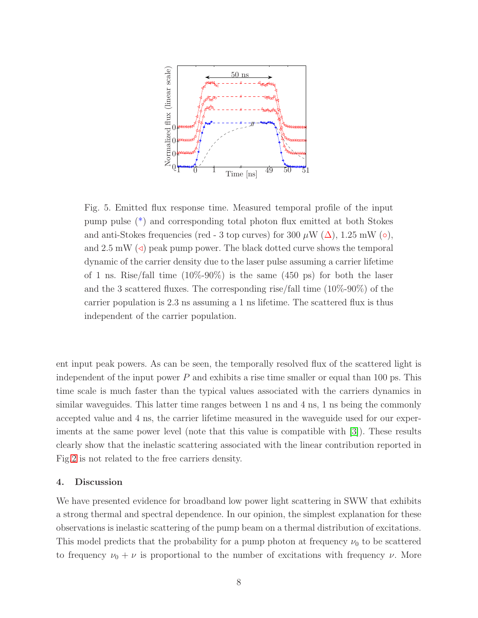

<span id="page-7-0"></span>Fig. 5. Emitted flux response time. Measured temporal profile of the input pump pulse (\*) and corresponding total photon flux emitted at both Stokes and anti-Stokes frequencies (red - 3 top curves) for 300  $\mu$ W ( $\Delta$ ), 1.25 mW ( $\circ$ ), and  $2.5 \text{ mW}$  ( $\triangleleft$ ) peak pump power. The black dotted curve shows the temporal dynamic of the carrier density due to the laser pulse assuming a carrier lifetime of 1 ns. Rise/fall time  $(10\% - 90\%)$  is the same  $(450 \text{ ps})$  for both the laser and the 3 scattered fluxes. The corresponding rise/fall time (10%-90%) of the carrier population is 2.3 ns assuming a 1 ns lifetime. The scattered flux is thus independent of the carrier population.

ent input peak powers. As can be seen, the temporally resolved flux of the scattered light is independent of the input power  $P$  and exhibits a rise time smaller or equal than 100 ps. This time scale is much faster than the typical values associated with the carriers dynamics in similar waveguides. This latter time ranges between 1 ns and 4 ns, 1 ns being the commonly accepted value and 4 ns, the carrier lifetime measured in the waveguide used for our experiments at the same power level (note that this value is compatible with [\[3\]](#page-9-4)). These results clearly show that the inelastic scattering associated with the linear contribution reported in Fig[.2](#page-4-0) is not related to the free carriers density.

# 4. Discussion

We have presented evidence for broadband low power light scattering in SWW that exhibits a strong thermal and spectral dependence. In our opinion, the simplest explanation for these observations is inelastic scattering of the pump beam on a thermal distribution of excitations. This model predicts that the probability for a pump photon at frequency  $\nu_0$  to be scattered to frequency  $\nu_0 + \nu$  is proportional to the number of excitations with frequency  $\nu$ . More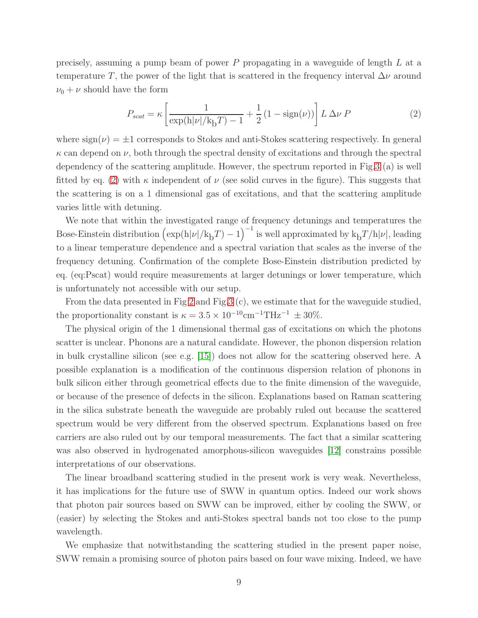precisely, assuming a pump beam of power P propagating in a waveguide of length L at a temperature T, the power of the light that is scattered in the frequency interval  $\Delta \nu$  around  $\nu_0 + \nu$  should have the form

<span id="page-8-0"></span>
$$
P_{scat} = \kappa \left[ \frac{1}{\exp(\mathbf{h}|\nu|/k_{\mathrm{b}}T) - 1} + \frac{1}{2} \left( 1 - \text{sign}(\nu) \right) \right] L \Delta \nu \, P \tag{2}
$$

where  $sign(\nu) = \pm 1$  corresponds to Stokes and anti-Stokes scattering respectively. In general  $\kappa$  can depend on  $\nu$ , both through the spectral density of excitations and through the spectral dependency of the scattering amplitude. However, the spectrum reported in Fig[.3](#page-5-0) (a) is well fitted by eq. [\(2\)](#page-8-0) with  $\kappa$  independent of  $\nu$  (see solid curves in the figure). This suggests that the scattering is on a 1 dimensional gas of excitations, and that the scattering amplitude varies little with detuning.

We note that within the investigated range of frequency detunings and temperatures the Bose-Einstein distribution  $(\exp(h|\nu|/k_bT) - 1)^{-1}$  is well approximated by  $k_bT/h|\nu|$ , leading to a linear temperature dependence and a spectral variation that scales as the inverse of the frequency detuning. Confirmation of the complete Bose-Einstein distribution predicted by eq. (eq:Pscat) would require measurements at larger detunings or lower temperature, which is unfortunately not accessible with our setup.

From the data presented in Fig [2](#page-4-0) and Fig[.3](#page-5-0) (c), we estimate that for the waveguide studied, the proportionality constant is  $\kappa = 3.5 \times 10^{-10} \text{cm}^{-1} \text{THz}^{-1} \pm 30\%$ .

The physical origin of the 1 dimensional thermal gas of excitations on which the photons scatter is unclear. Phonons are a natural candidate. However, the phonon dispersion relation in bulk crystalline silicon (see e.g. [\[15\]](#page-10-5)) does not allow for the scattering observed here. A possible explanation is a modification of the continuous dispersion relation of phonons in bulk silicon either through geometrical effects due to the finite dimension of the waveguide, or because of the presence of defects in the silicon. Explanations based on Raman scattering in the silica substrate beneath the waveguide are probably ruled out because the scattered spectrum would be very different from the observed spectrum. Explanations based on free carriers are also ruled out by our temporal measurements. The fact that a similar scattering was also observed in hydrogenated amorphous-silicon waveguides [\[12\]](#page-10-2) constrains possible interpretations of our observations.

The linear broadband scattering studied in the present work is very weak. Nevertheless, it has implications for the future use of SWW in quantum optics. Indeed our work shows that photon pair sources based on SWW can be improved, either by cooling the SWW, or (easier) by selecting the Stokes and anti-Stokes spectral bands not too close to the pump wavelength.

We emphasize that notwithstanding the scattering studied in the present paper noise, SWW remain a promising source of photon pairs based on four wave mixing. Indeed, we have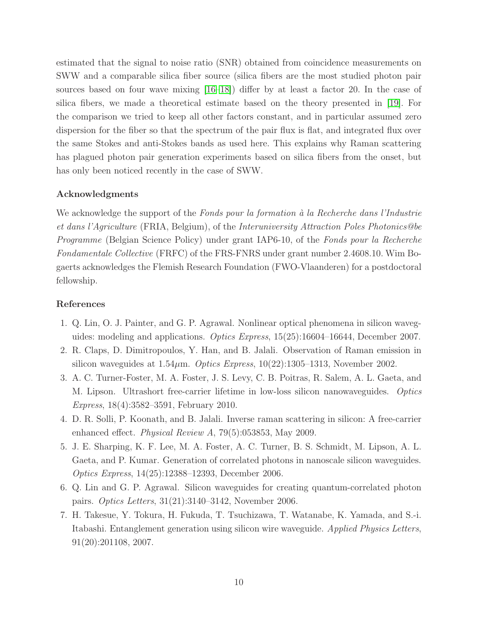estimated that the signal to noise ratio (SNR) obtained from coincidence measurements on SWW and a comparable silica fiber source (silica fibers are the most studied photon pair sources based on four wave mixing [\[16](#page-10-6)[–18\]](#page-10-7)) differ by at least a factor 20. In the case of silica fibers, we made a theoretical estimate based on the theory presented in [\[19\]](#page-10-8). For the comparison we tried to keep all other factors constant, and in particular assumed zero dispersion for the fiber so that the spectrum of the pair flux is flat, and integrated flux over the same Stokes and anti-Stokes bands as used here. This explains why Raman scattering has plagued photon pair generation experiments based on silica fibers from the onset, but has only been noticed recently in the case of SWW.

# Acknowledgments

We acknowledge the support of the *Fonds pour la formation à la Recherche dans l'Industrie et dans l'Agriculture* (FRIA, Belgium), of the *Interuniversity Attraction Poles Photonics@be Programme* (Belgian Science Policy) under grant IAP6-10, of the *Fonds pour la Recherche Fondamentale Collective* (FRFC) of the FRS-FNRS under grant number 2.4608.10. Wim Bogaerts acknowledges the Flemish Research Foundation (FWO-Vlaanderen) for a postdoctoral fellowship.

# <span id="page-9-0"></span>References

- 1. Q. Lin, O. J. Painter, and G. P. Agrawal. Nonlinear optical phenomena in silicon waveguides: modeling and applications. *Optics Express*, 15(25):16604–16644, December 2007.
- <span id="page-9-4"></span>2. R. Claps, D. Dimitropoulos, Y. Han, and B. Jalali. Observation of Raman emission in silicon waveguides at 1.54µm. *Optics Express*, 10(22):1305–1313, November 2002.
- 3. A. C. Turner-Foster, M. A. Foster, J. S. Levy, C. B. Poitras, R. Salem, A. L. Gaeta, and M. Lipson. Ultrashort free-carrier lifetime in low-loss silicon nanowaveguides. *Optics Express*, 18(4):3582–3591, February 2010.
- <span id="page-9-2"></span><span id="page-9-1"></span>4. D. R. Solli, P. Koonath, and B. Jalali. Inverse raman scattering in silicon: A free-carrier enhanced effect. *Physical Review A*, 79(5):053853, May 2009.
- 5. J. E. Sharping, K. F. Lee, M. A. Foster, A. C. Turner, B. S. Schmidt, M. Lipson, A. L. Gaeta, and P. Kumar. Generation of correlated photons in nanoscale silicon waveguides. *Optics Express*, 14(25):12388–12393, December 2006.
- <span id="page-9-3"></span>6. Q. Lin and G. P. Agrawal. Silicon waveguides for creating quantum-correlated photon pairs. *Optics Letters*, 31(21):3140–3142, November 2006.
- 7. H. Takesue, Y. Tokura, H. Fukuda, T. Tsuchizawa, T. Watanabe, K. Yamada, and S.-i. Itabashi. Entanglement generation using silicon wire waveguide. *Applied Physics Letters*, 91(20):201108, 2007.